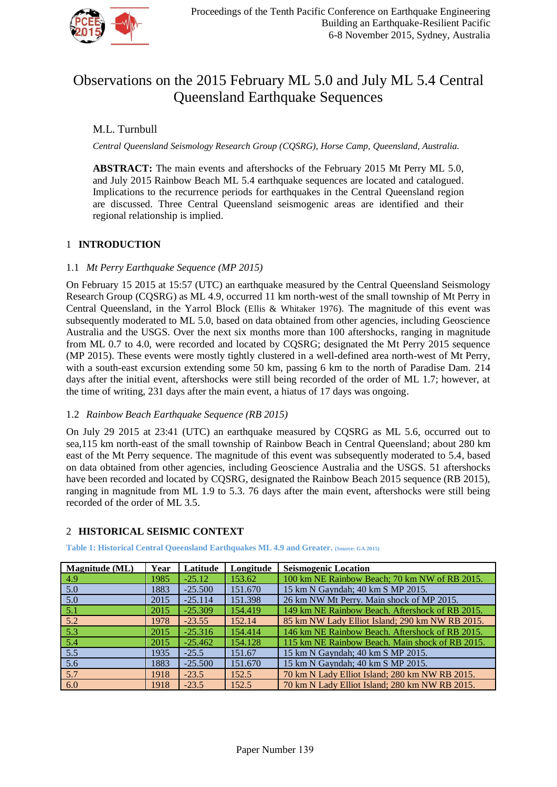

# Observations on the 2015 February ML 5.0 and July ML 5.4 Central Queensland Earthquake Sequences

M.L. Turnbull

*Central Queensland Seismology Research Group (CQSRG), Horse Camp, Queensland, Australia.*

**ABSTRACT:** The main events and aftershocks of the February 2015 Mt Perry ML 5.0, and July 2015 Rainbow Beach ML 5.4 earthquake sequences are located and catalogued. Implications to the recurrence periods for earthquakes in the Central Queensland region are discussed. Three Central Queensland seismogenic areas are identified and their regional relationship is implied.

# 1 **INTRODUCTION**

### 1.1 *Mt Perry Earthquake Sequence (MP 2015)*

On February 15 2015 at 15:57 (UTC) an earthquake measured by the Central Queensland Seismology Research Group (CQSRG) as ML 4.9, occurred 11 km north-west of the small township of Mt Perry in Central Queensland, in the Yarrol Block (Ellis & Whitaker 1976). The magnitude of this event was subsequently moderated to ML 5.0, based on data obtained from other agencies, including Geoscience Australia and the USGS. Over the next six months more than 100 aftershocks, ranging in magnitude from ML 0.7 to 4.0, were recorded and located by CQSRG; designated the Mt Perry 2015 sequence (MP 2015). These events were mostly tightly clustered in a well-defined area north-west of Mt Perry, with a south-east excursion extending some 50 km, passing 6 km to the north of Paradise Dam. 214 days after the initial event, aftershocks were still being recorded of the order of ML 1.7; however, at the time of writing, 231 days after the main event, a hiatus of 17 days was ongoing.

#### 1.2 *Rainbow Beach Earthquake Sequence (RB 2015)*

On July 29 2015 at 23:41 (UTC) an earthquake measured by CQSRG as ML 5.6, occurred out to sea,115 km north-east of the small township of Rainbow Beach in Central Queensland; about 280 km east of the Mt Perry sequence. The magnitude of this event was subsequently moderated to 5.4, based on data obtained from other agencies, including Geoscience Australia and the USGS. 51 aftershocks have been recorded and located by CQSRG, designated the Rainbow Beach 2015 sequence (RB 2015), ranging in magnitude from ML 1.9 to 5.3. 76 days after the main event, aftershocks were still being recorded of the order of ML 3.5.

# 2 **HISTORICAL SEISMIC CONTEXT**

**Table 1: Historical Central Queensland Earthquakes ML 4.9 and Greater. (Source: GA 2015)**

| Magnitude (ML) | Year | Latitude  | Longitude | <b>Seismogenic Location</b>                     |
|----------------|------|-----------|-----------|-------------------------------------------------|
| 4.9            | 1985 | $-25.12$  | 153.62    | 100 km NE Rainbow Beach; 70 km NW of RB 2015.   |
| 5.0            | 1883 | $-25.500$ | 151.670   | 15 km N Gayndah; 40 km S MP 2015.               |
| 5.0            | 2015 | $-25.114$ | 151.398   | 26 km NW Mt Perry. Main shock of MP 2015.       |
| 5.1            | 2015 | $-25.309$ | 154.419   | 149 km NE Rainbow Beach. Aftershock of RB 2015. |
| 5.2            | 1978 | $-23.55$  | 152.14    | 85 km NW Lady Elliot Island; 290 km NW RB 2015. |
| 5.3            | 2015 | $-25.316$ | 154.414   | 146 km NE Rainbow Beach. Aftershock of RB 2015. |
| 5.4            | 2015 | $-25.462$ | 154.128   | 115 km NE Rainbow Beach. Main shock of RB 2015. |
| 5.5            | 1935 | $-25.5$   | 151.67    | 15 km N Gayndah; 40 km S MP 2015.               |
| 5.6            | 1883 | $-25.500$ | 151.670   | 15 km N Gayndah; 40 km S MP 2015.               |
| 5.7            | 1918 | $-23.5$   | 152.5     | 70 km N Lady Elliot Island; 280 km NW RB 2015.  |
| 6.0            | 1918 | $-23.5$   | 152.5     | 70 km N Lady Elliot Island; 280 km NW RB 2015.  |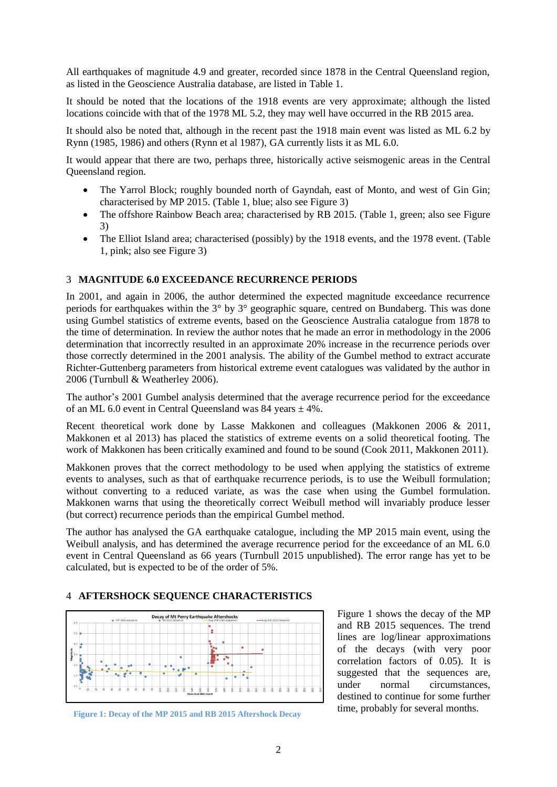All earthquakes of magnitude 4.9 and greater, recorded since 1878 in the Central Queensland region, as listed in the Geoscience Australia database, are listed in Table 1.

It should be noted that the locations of the 1918 events are very approximate; although the listed locations coincide with that of the 1978 ML 5.2, they may well have occurred in the RB 2015 area.

It should also be noted that, although in the recent past the 1918 main event was listed as ML 6.2 by Rynn (1985, 1986) and others (Rynn et al 1987), GA currently lists it as ML 6.0.

It would appear that there are two, perhaps three, historically active seismogenic areas in the Central Queensland region.

- The Yarrol Block; roughly bounded north of Gayndah, east of Monto, and west of Gin Gin; characterised by MP 2015. (Table 1, blue; also see Figure 3)
- The offshore Rainbow Beach area; characterised by RB 2015. (Table 1, green; also see Figure 3)
- The Elliot Island area; characterised (possibly) by the 1918 events, and the 1978 event. (Table 1, pink; also see Figure 3)

#### 3 **MAGNITUDE 6.0 EXCEEDANCE RECURRENCE PERIODS**

In 2001, and again in 2006, the author determined the expected magnitude exceedance recurrence periods for earthquakes within the 3° by 3° geographic square, centred on Bundaberg. This was done using Gumbel statistics of extreme events, based on the Geoscience Australia catalogue from 1878 to the time of determination. In review the author notes that he made an error in methodology in the 2006 determination that incorrectly resulted in an approximate 20% increase in the recurrence periods over those correctly determined in the 2001 analysis. The ability of the Gumbel method to extract accurate Richter-Guttenberg parameters from historical extreme event catalogues was validated by the author in 2006 (Turnbull & Weatherley 2006).

The author's 2001 Gumbel analysis determined that the average recurrence period for the exceedance of an ML 6.0 event in Central Queensland was  $84$  years  $\pm 4\%$ .

Recent theoretical work done by Lasse Makkonen and colleagues (Makkonen 2006 & 2011, Makkonen et al 2013) has placed the statistics of extreme events on a solid theoretical footing. The work of Makkonen has been critically examined and found to be sound (Cook 2011, Makkonen 2011).

Makkonen proves that the correct methodology to be used when applying the statistics of extreme events to analyses, such as that of earthquake recurrence periods, is to use the Weibull formulation; without converting to a reduced variate, as was the case when using the Gumbel formulation. Makkonen warns that using the theoretically correct Weibull method will invariably produce lesser (but correct) recurrence periods than the empirical Gumbel method.

The author has analysed the GA earthquake catalogue, including the MP 2015 main event, using the Weibull analysis, and has determined the average recurrence period for the exceedance of an ML 6.0 event in Central Queensland as 66 years (Turnbull 2015 unpublished). The error range has yet to be calculated, but is expected to be of the order of 5%.

#### 4 **AFTERSHOCK SEQUENCE CHARACTERISTICS**



Figure 1: Decay of the MP 2015 and RB 2015 Aftershock Decay time, probably for several months.

Figure 1 shows the decay of the MP and RB 2015 sequences. The trend lines are log/linear approximations of the decays (with very poor correlation factors of 0.05). It is suggested that the sequences are, under normal circumstances, destined to continue for some further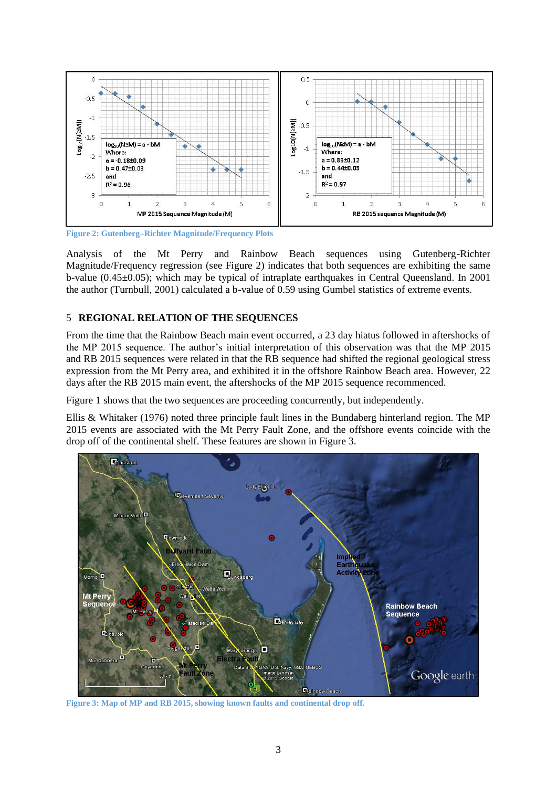

**Figure 2: Gutenberg–Richter Magnitude/Frequency Plots**

Analysis of the Mt Perry and Rainbow Beach sequences using Gutenberg-Richter Magnitude/Frequency regression (see Figure 2) indicates that both sequences are exhibiting the same b-value  $(0.45\pm0.05)$ ; which may be typical of intraplate earthquakes in Central Queensland. In 2001 the author (Turnbull, 2001) calculated a b-value of 0.59 using Gumbel statistics of extreme events.

# 5 **REGIONAL RELATION OF THE SEQUENCES**

From the time that the Rainbow Beach main event occurred, a 23 day hiatus followed in aftershocks of the MP 2015 sequence. The author's initial interpretation of this observation was that the MP 2015 and RB 2015 sequences were related in that the RB sequence had shifted the regional geological stress expression from the Mt Perry area, and exhibited it in the offshore Rainbow Beach area. However, 22 days after the RB 2015 main event, the aftershocks of the MP 2015 sequence recommenced.

Figure 1 shows that the two sequences are proceeding concurrently, but independently.

Ellis & Whitaker (1976) noted three principle fault lines in the Bundaberg hinterland region. The MP 2015 events are associated with the Mt Perry Fault Zone, and the offshore events coincide with the drop off of the continental shelf. These features are shown in Figure 3.



**Figure 3: Map of MP and RB 2015, showing known faults and continental drop off.**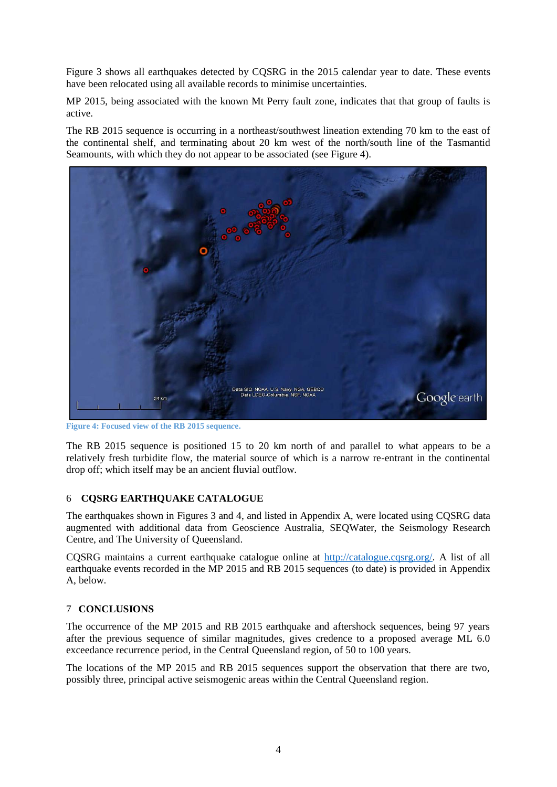Figure 3 shows all earthquakes detected by CQSRG in the 2015 calendar year to date. These events have been relocated using all available records to minimise uncertainties.

MP 2015, being associated with the known Mt Perry fault zone, indicates that that group of faults is active.

The RB 2015 sequence is occurring in a northeast/southwest lineation extending 70 km to the east of the continental shelf, and terminating about 20 km west of the north/south line of the Tasmantid Seamounts, with which they do not appear to be associated (see Figure 4).



**Figure 4: Focused view of the RB 2015 sequen***c***e.**

The RB 2015 sequence is positioned 15 to 20 km north of and parallel to what appears to be a relatively fresh turbidite flow, the material source of which is a narrow re-entrant in the continental drop off; which itself may be an ancient fluvial outflow.

#### 6 **CQSRG EARTHQUAKE CATALOGUE**

The earthquakes shown in Figures 3 and 4, and listed in Appendix A, were located using CQSRG data augmented with additional data from Geoscience Australia, SEQWater, the Seismology Research Centre, and The University of Queensland.

CQSRG maintains a current earthquake catalogue online at [http://catalogue.cqsrg.org/.](http://catalogue.cqsrg.org/) A list of all earthquake events recorded in the MP 2015 and RB 2015 sequences (to date) is provided in Appendix A, below.

#### 7 **CONCLUSIONS**

The occurrence of the MP 2015 and RB 2015 earthquake and aftershock sequences, being 97 years after the previous sequence of similar magnitudes, gives credence to a proposed average ML 6.0 exceedance recurrence period, in the Central Queensland region, of 50 to 100 years.

The locations of the MP 2015 and RB 2015 sequences support the observation that there are two, possibly three, principal active seismogenic areas within the Central Queensland region.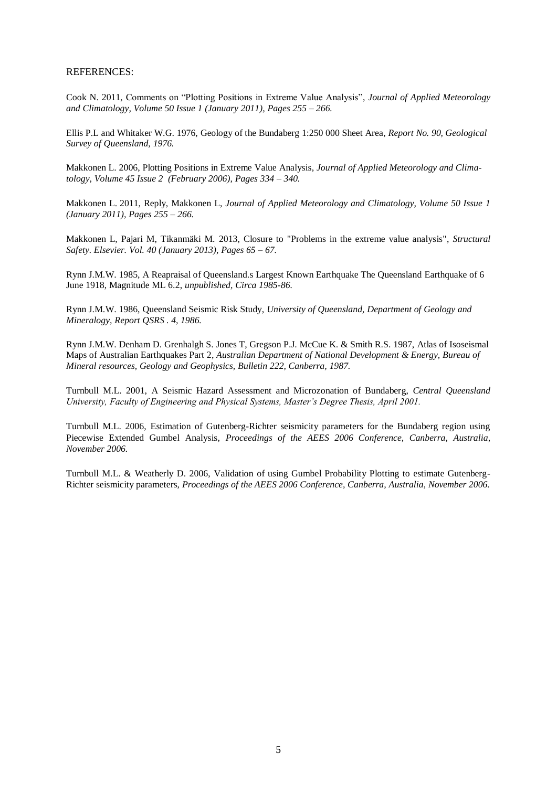#### REFERENCES:

Cook N. 2011, Comments on "Plotting Positions in Extreme Value Analysis", *Journal of Applied Meteorology and Climatology, Volume 50 Issue 1 (January 2011), Pages 255 – 266.*

Ellis P.L and Whitaker W.G. 1976, Geology of the Bundaberg 1:250 000 Sheet Area, *Report No. 90, Geological Survey of Queensland, 1976.*

Makkonen L. 2006, Plotting Positions in Extreme Value Analysis, *Journal of Applied Meteorology and Climatology, Volume 45 Issue 2 (February 2006), Pages 334 – 340.*

Makkonen L. 2011, Reply, Makkonen L, *Journal of Applied Meteorology and Climatology, Volume 50 Issue 1 (January 2011), Pages 255 – 266.*

Makkonen L, Pajari M, Tikanmäki M. 2013, Closure to "Problems in the extreme value analysis", *Structural Safety. Elsevier. Vol. 40 (January 2013), Pages 65 – 67.*

Rynn J.M.W. 1985, A Reapraisal of Queensland.s Largest Known Earthquake The Queensland Earthquake of 6 June 1918, Magnitude ML 6.2, *unpublished, Circa 1985-86.*

Rynn J.M.W. 1986, Queensland Seismic Risk Study, *University of Queensland, Department of Geology and Mineralogy, Report QSRS . 4, 1986.*

Rynn J.M.W. Denham D. Grenhalgh S. Jones T, Gregson P.J. McCue K. & Smith R.S. 1987, Atlas of Isoseismal Maps of Australian Earthquakes Part 2, *Australian Department of National Development & Energy, Bureau of Mineral resources, Geology and Geophysics, Bulletin 222, Canberra, 1987.*

Turnbull M.L. 2001, A Seismic Hazard Assessment and Microzonation of Bundaberg, *Central Queensland University, Faculty of Engineering and Physical Systems, Master's Degree Thesis, April 2001.*

Turnbull M.L. 2006, Estimation of Gutenberg-Richter seismicity parameters for the Bundaberg region using Piecewise Extended Gumbel Analysis, *Proceedings of the AEES 2006 Conference, Canberra, Australia, November 2006.*

Turnbull M.L. & Weatherly D. 2006, Validation of using Gumbel Probability Plotting to estimate Gutenberg-Richter seismicity parameters, *Proceedings of the AEES 2006 Conference, Canberra, Australia, November 2006.*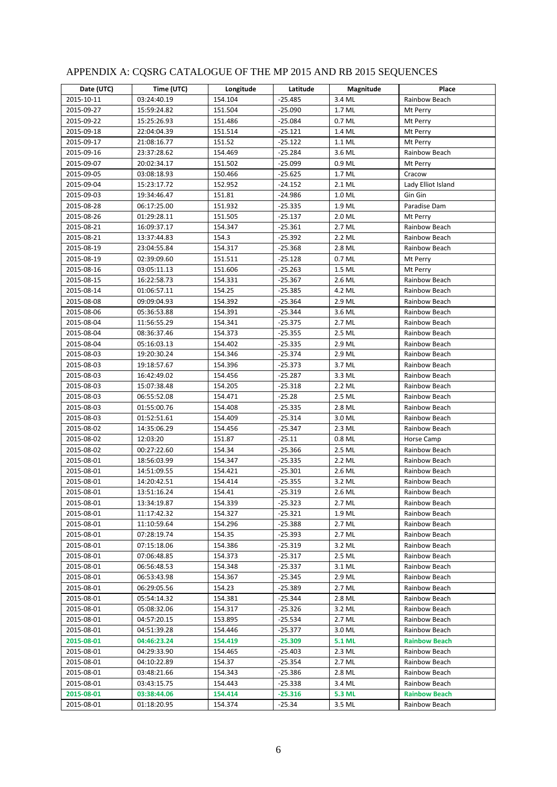| Date (UTC) | Time (UTC)  | Longitude | Latitude  | Magnitude     | Place                |
|------------|-------------|-----------|-----------|---------------|----------------------|
| 2015-10-11 | 03:24:40.19 | 154.104   | $-25.485$ | 3.4 ML        | Rainbow Beach        |
| 2015-09-27 | 15:59:24.82 | 151.504   | $-25.090$ | 1.7 ML        | Mt Perry             |
| 2015-09-22 | 15:25:26.93 | 151.486   | $-25.084$ | 0.7 ML        | Mt Perry             |
| 2015-09-18 | 22:04:04.39 | 151.514   | $-25.121$ | 1.4 ML        | Mt Perry             |
| 2015-09-17 | 21:08:16.77 | 151.52    | $-25.122$ | 1.1 ML        | Mt Perry             |
| 2015-09-16 | 23:37:28.62 | 154.469   | $-25.284$ | 3.6 ML        | Rainbow Beach        |
| 2015-09-07 | 20:02:34.17 | 151.502   | $-25.099$ | 0.9 ML        | Mt Perry             |
| 2015-09-05 | 03:08:18.93 | 150.466   | $-25.625$ | 1.7 ML        | Cracow               |
| 2015-09-04 | 15:23:17.72 | 152.952   | $-24.152$ | 2.1 ML        | Lady Elliot Island   |
| 2015-09-03 | 19:34:46.47 | 151.81    | $-24.986$ | 1.0 ML        | Gin Gin              |
| 2015-08-28 | 06:17:25.00 | 151.932   | -25.335   | 1.9 ML        | Paradise Dam         |
| 2015-08-26 | 01:29:28.11 | 151.505   | $-25.137$ | 2.0 ML        | Mt Perry             |
| 2015-08-21 | 16:09:37.17 | 154.347   | -25.361   | 2.7 ML        | Rainbow Beach        |
| 2015-08-21 | 13:37:44.83 | 154.3     | -25.392   | 2.2 ML        | Rainbow Beach        |
| 2015-08-19 | 23:04:55.84 | 154.317   | $-25.368$ | 2.8 ML        | Rainbow Beach        |
| 2015-08-19 | 02:39:09.60 | 151.511   | $-25.128$ | 0.7 ML        | Mt Perry             |
| 2015-08-16 | 03:05:11.13 | 151.606   | $-25.263$ | 1.5 ML        | Mt Perry             |
| 2015-08-15 | 16:22:58.73 | 154.331   | $-25.367$ | 2.6 ML        | Rainbow Beach        |
| 2015-08-14 | 01:06:57.11 | 154.25    | $-25.385$ | 4.2 ML        | Rainbow Beach        |
| 2015-08-08 | 09:09:04.93 | 154.392   | $-25.364$ | 2.9 ML        | Rainbow Beach        |
| 2015-08-06 | 05:36:53.88 | 154.391   | $-25.344$ | 3.6 ML        | Rainbow Beach        |
| 2015-08-04 | 11:56:55.29 | 154.341   | $-25.375$ | 2.7 ML        | Rainbow Beach        |
| 2015-08-04 | 08:36:37.46 | 154.373   | $-25.355$ | 2.5 ML        | Rainbow Beach        |
| 2015-08-04 | 05:16:03.13 | 154.402   | $-25.335$ | 2.9 ML        | Rainbow Beach        |
| 2015-08-03 | 19:20:30.24 | 154.346   | $-25.374$ | 2.9 ML        | Rainbow Beach        |
| 2015-08-03 | 19:18:57.67 | 154.396   | $-25.373$ | 3.7 ML        | Rainbow Beach        |
| 2015-08-03 | 16:42:49.02 | 154.456   | $-25.287$ | 3.3 ML        | Rainbow Beach        |
| 2015-08-03 | 15:07:38.48 | 154.205   | -25.318   | 2.2 ML        | Rainbow Beach        |
| 2015-08-03 | 06:55:52.08 | 154.471   | $-25.28$  | 2.5 ML        | Rainbow Beach        |
| 2015-08-03 | 01:55:00.76 | 154.408   | $-25.335$ | 2.8 ML        | Rainbow Beach        |
| 2015-08-03 | 01:52:51.61 | 154.409   | $-25.314$ | 3.0 ML        | Rainbow Beach        |
| 2015-08-02 | 14:35:06.29 | 154.456   | $-25.347$ | 2.3 ML        | Rainbow Beach        |
| 2015-08-02 | 12:03:20    | 151.87    | $-25.11$  | 0.8 ML        | Horse Camp           |
| 2015-08-02 | 00:27:22.60 | 154.34    | $-25.366$ | 2.5 ML        | Rainbow Beach        |
| 2015-08-01 | 18:56:03.99 | 154.347   | $-25.335$ | 2.2 ML        | Rainbow Beach        |
| 2015-08-01 | 14:51:09.55 | 154.421   | $-25.301$ | 2.6 ML        | Rainbow Beach        |
| 2015-08-01 | 14:20:42.51 | 154.414   | $-25.355$ | 3.2 ML        | Rainbow Beach        |
| 2015-08-01 | 13:51:16.24 | 154.41    | $-25.319$ | 2.6 ML        | Rainbow Beach        |
| 2015-08-01 | 13:34:19.87 | 154.339   | $-25.323$ | 2.7 ML        | Rainbow Beach        |
| 2015-08-01 | 11:17:42.32 | 154.327   | -25.321   | 1.9 ML        | Rainbow Beach        |
| 2015-08-01 | 11:10:59.64 | 154.296   | -25.388   | 2.7 ML        | Rainbow Beach        |
| 2015-08-01 | 07:28:19.74 | 154.35    | -25.393   | 2.7 ML        | Rainbow Beach        |
| 2015-08-01 | 07:15:18.06 | 154.386   | -25.319   | 3.2 ML        | Rainbow Beach        |
| 2015-08-01 | 07:06:48.85 | 154.373   | -25.317   | 2.5 ML        | Rainbow Beach        |
| 2015-08-01 | 06:56:48.53 | 154.348   | $-25.337$ | 3.1 ML        | Rainbow Beach        |
| 2015-08-01 | 06:53:43.98 | 154.367   | -25.345   | 2.9 ML        | Rainbow Beach        |
| 2015-08-01 | 06:29:05.56 | 154.23    | -25.389   | 2.7 ML        | Rainbow Beach        |
| 2015-08-01 | 05:54:14.32 | 154.381   | -25.344   | 2.8 ML        | Rainbow Beach        |
| 2015-08-01 | 05:08:32.06 | 154.317   | $-25.326$ | 3.2 ML        | Rainbow Beach        |
| 2015-08-01 | 04:57:20.15 | 153.895   | -25.534   | 2.7 ML        | Rainbow Beach        |
| 2015-08-01 | 04:51:39.28 | 154.446   | -25.377   | 3.0 ML        | Rainbow Beach        |
| 2015-08-01 | 04:46:23.24 | 154.419   | $-25.309$ | <b>5.1 ML</b> | <b>Rainbow Beach</b> |
| 2015-08-01 | 04:29:33.90 | 154.465   | -25.403   | 2.3 ML        | Rainbow Beach        |
| 2015-08-01 | 04:10:22.89 | 154.37    | $-25.354$ | 2.7 ML        | Rainbow Beach        |
| 2015-08-01 | 03:48:21.66 | 154.343   | -25.386   | 2.8 ML        | Rainbow Beach        |
| 2015-08-01 | 03:43:15.75 | 154.443   | $-25.338$ | 3.4 ML        | Rainbow Beach        |
| 2015-08-01 | 03:38:44.06 | 154.414   | -25.316   | 5.3 ML        | <b>Rainbow Beach</b> |
| 2015-08-01 | 01:18:20.95 | 154.374   | -25.34    | 3.5 ML        | Rainbow Beach        |

# APPENDIX A: CQSRG CATALOGUE OF THE MP 2015 AND RB 2015 SEQUENCES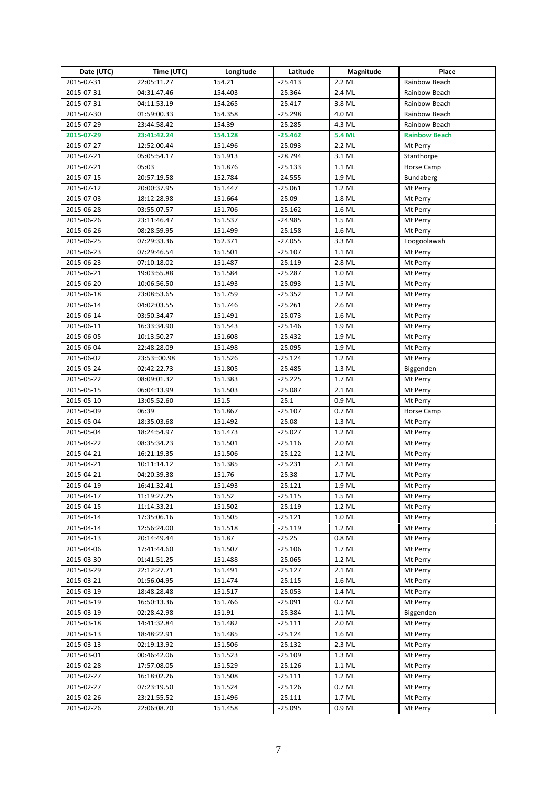| Date (UTC) | Time (UTC)   | Longitude | Latitude  | Magnitude     | Place                |
|------------|--------------|-----------|-----------|---------------|----------------------|
| 2015-07-31 | 22:05:11.27  | 154.21    | $-25.413$ | 2.2 ML        | Rainbow Beach        |
| 2015-07-31 | 04:31:47.46  | 154.403   | $-25.364$ | 2.4 ML        | Rainbow Beach        |
| 2015-07-31 | 04:11:53.19  | 154.265   | $-25.417$ | 3.8 ML        | Rainbow Beach        |
| 2015-07-30 | 01:59:00.33  | 154.358   | $-25.298$ | 4.0 ML        | Rainbow Beach        |
| 2015-07-29 | 23:44:58.42  | 154.39    | $-25.285$ | 4.3 ML        | Rainbow Beach        |
| 2015-07-29 | 23:41:42.24  | 154.128   | $-25.462$ | <b>5.4 ML</b> | <b>Rainbow Beach</b> |
| 2015-07-27 | 12:52:00.44  | 151.496   | $-25.093$ | 2.2 ML        | Mt Perry             |
| 2015-07-21 | 05:05:54.17  | 151.913   | $-28.794$ | 3.1 ML        | Stanthorpe           |
| 2015-07-21 | 05:03        | 151.876   | $-25.133$ | 1.1 ML        | Horse Camp           |
| 2015-07-15 | 20:57:19.58  | 152.784   | $-24.555$ | 1.9 ML        | Bundaberg            |
| 2015-07-12 | 20:00:37.95  | 151.447   | -25.061   | 1.2 ML        | Mt Perry             |
| 2015-07-03 | 18:12:28.98  | 151.664   | $-25.09$  | 1.8 ML        | Mt Perry             |
| 2015-06-28 | 03:55:07.57  | 151.706   | $-25.162$ | 1.6 ML        | Mt Perry             |
| 2015-06-26 | 23:11:46.47  | 151.537   | $-24.985$ | 1.5 ML        | Mt Perry             |
| 2015-06-26 | 08:28:59.95  | 151.499   | $-25.158$ | 1.6 ML        | Mt Perry             |
| 2015-06-25 | 07:29:33.36  | 152.371   | $-27.055$ | 3.3 ML        | Toogoolawah          |
| 2015-06-23 | 07:29:46.54  | 151.501   | -25.107   | 1.1 ML        | Mt Perry             |
| 2015-06-23 | 07:10:18.02  | 151.487   | $-25.119$ | 2.8 ML        | Mt Perry             |
| 2015-06-21 | 19:03:55.88  | 151.584   | $-25.287$ | 1.0 ML        | Mt Perry             |
| 2015-06-20 | 10:06:56.50  | 151.493   | -25.093   | 1.5 ML        | Mt Perry             |
| 2015-06-18 | 23:08:53.65  | 151.759   | -25.352   | 1.2 ML        | Mt Perry             |
| 2015-06-14 | 04:02:03.55  | 151.746   | $-25.261$ | 2.6 ML        | Mt Perry             |
| 2015-06-14 | 03:50:34.47  | 151.491   | $-25.073$ | 1.6 ML        | Mt Perry             |
| 2015-06-11 | 16:33:34.90  | 151.543   | $-25.146$ | 1.9 ML        | Mt Perry             |
| 2015-06-05 | 10:13:50.27  | 151.608   | -25.432   | 1.9 ML        | Mt Perry             |
| 2015-06-04 | 22:48:28.09  | 151.498   | -25.095   | 1.9 ML        | Mt Perry             |
| 2015-06-02 | 23:53::00.98 | 151.526   | $-25.124$ | 1.2 ML        | Mt Perry             |
| 2015-05-24 | 02:42:22.73  | 151.805   | $-25.485$ | 1.3 ML        | Biggenden            |
| 2015-05-22 | 08:09:01.32  | 151.383   | $-25.225$ | 1.7 ML        | Mt Perry             |
| 2015-05-15 | 06:04:13.99  | 151.503   | $-25.087$ | 2.1 ML        | Mt Perry             |
| 2015-05-10 | 13:05:52.60  | 151.5     | $-25.1$   | 0.9 ML        | Mt Perry             |
| 2015-05-09 | 06:39        | 151.867   | $-25.107$ | 0.7 ML        | Horse Camp           |
| 2015-05-04 | 18:35:03.68  | 151.492   | $-25.08$  | 1.3 ML        | Mt Perry             |
| 2015-05-04 | 18:24:54.97  | 151.473   | $-25.027$ | 1.2 ML        | Mt Perry             |
| 2015-04-22 | 08:35:34.23  | 151.501   | $-25.116$ | 2.0 ML        | Mt Perry             |
| 2015-04-21 | 16:21:19.35  | 151.506   | $-25.122$ | 1.2 ML        | Mt Perry             |
| 2015-04-21 | 10:11:14.12  | 151.385   | $-25.231$ | 2.1 ML        | Mt Perry             |
| 2015-04-21 | 04:20:39.38  | 151.76    | $-25.38$  | 1.7 ML        | Mt Perry             |
| 2015-04-19 | 16:41:32.41  | 151.493   | $-25.121$ | 1.9 ML        | Mt Perry             |
| 2015-04-17 | 11:19:27.25  | 151.52    | $-25.115$ | 1.5 ML        | Mt Perry             |
| 2015-04-15 | 11:14:33.21  | 151.502   | $-25.119$ | 1.2 ML        | Mt Perry             |
| 2015-04-14 | 17:35:06.16  | 151.505   | $-25.121$ | 1.0 ML        | Mt Perry             |
| 2015-04-14 | 12:56:24.00  | 151.518   | $-25.119$ | 1.2 ML        | Mt Perry             |
| 2015-04-13 | 20:14:49.44  | 151.87    | $-25.25$  | 0.8 ML        | Mt Perry             |
| 2015-04-06 | 17:41:44.60  | 151.507   | $-25.106$ | 1.7 ML        | Mt Perry             |
| 2015-03-30 | 01:41:51.25  | 151.488   | $-25.065$ | 1.2 ML        | Mt Perry             |
| 2015-03-29 | 22:12:27.71  | 151.491   | -25.127   | 2.1 ML        | Mt Perry             |
| 2015-03-21 | 01:56:04.95  | 151.474   | -25.115   | 1.6 ML        | Mt Perry             |
| 2015-03-19 | 18:48:28.48  | 151.517   | -25.053   | 1.4 ML        | Mt Perry             |
| 2015-03-19 | 16:50:13.36  | 151.766   | $-25.091$ | 0.7 ML        | Mt Perry             |
| 2015-03-19 | 02:28:42.98  | 151.91    | $-25.384$ | 1.1 ML        | Biggenden            |
| 2015-03-18 | 14:41:32.84  | 151.482   | $-25.111$ | 2.0 ML        | Mt Perry             |
| 2015-03-13 | 18:48:22.91  | 151.485   | -25.124   | 1.6 ML        | Mt Perry             |
| 2015-03-13 | 02:19:13.92  | 151.506   | $-25.132$ | 2.3 ML        | Mt Perry             |
| 2015-03-01 | 00:46:42.06  | 151.523   | $-25.109$ | 1.3 ML        | Mt Perry             |
| 2015-02-28 | 17:57:08.05  | 151.529   | $-25.126$ | 1.1 ML        | Mt Perry             |
| 2015-02-27 | 16:18:02.26  | 151.508   | -25.111   | 1.2 ML        | Mt Perry             |
| 2015-02-27 | 07:23:19.50  | 151.524   | $-25.126$ | 0.7 ML        | Mt Perry             |
| 2015-02-26 | 23:21:55.52  | 151.496   | -25.111   | 1.7 ML        | Mt Perry             |
| 2015-02-26 | 22:06:08.70  | 151.458   | $-25.095$ | 0.9 ML        | Mt Perry             |